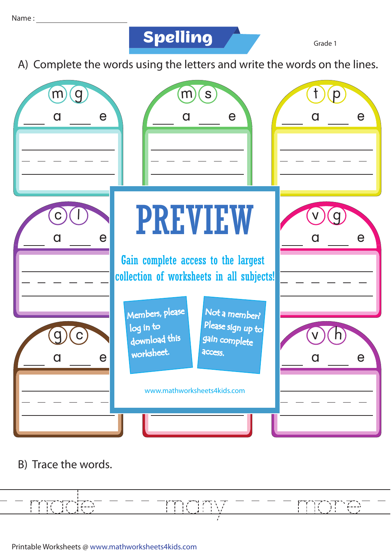**Spelling**

Grade 1

A) Complete the words using the letters and write the words on the lines.



B) Trace the words.